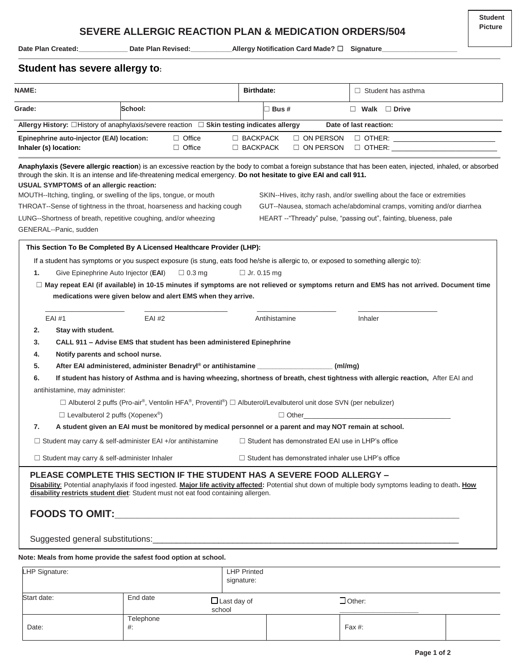Date Plan Created: \_\_\_\_\_\_\_\_\_\_\_\_\_\_\_\_ Date Plan Revised: \_\_\_\_\_\_\_\_\_\_\_\_\_\_Allergy Notification Card Made? □ Signature\_

# **Student has severe allergy to:**

| <b>NAME:</b>                                                                                                                                                                                                                                                                                                                                                                                                         |                                               |                                                                                                                  | <b>Birthdate:</b>                |                |                  | $\Box$ Student has asthma                                                                                                                                                                                                                                                                                                                                                           |  |
|----------------------------------------------------------------------------------------------------------------------------------------------------------------------------------------------------------------------------------------------------------------------------------------------------------------------------------------------------------------------------------------------------------------------|-----------------------------------------------|------------------------------------------------------------------------------------------------------------------|----------------------------------|----------------|------------------|-------------------------------------------------------------------------------------------------------------------------------------------------------------------------------------------------------------------------------------------------------------------------------------------------------------------------------------------------------------------------------------|--|
| Grade:                                                                                                                                                                                                                                                                                                                                                                                                               | School:                                       |                                                                                                                  |                                  | $\sqcap$ Bus # |                  | $\Box$ Walk $\Box$ Drive                                                                                                                                                                                                                                                                                                                                                            |  |
| Allergy History: □History of anaphylaxis/severe reaction □ Skin testing indicates allergy                                                                                                                                                                                                                                                                                                                            |                                               |                                                                                                                  |                                  |                |                  | Date of last reaction:                                                                                                                                                                                                                                                                                                                                                              |  |
| Epinephrine auto-injector (EAI) location:                                                                                                                                                                                                                                                                                                                                                                            |                                               | $\Box$ Office                                                                                                    | $\Box$ BACKPACK                  |                | $\Box$ ON PERSON |                                                                                                                                                                                                                                                                                                                                                                                     |  |
| Inhaler (s) location:                                                                                                                                                                                                                                                                                                                                                                                                |                                               | $\Box$ Office                                                                                                    | $\Box$ BACKPACK                  |                | $\Box$ ON PERSON | $\Box$ OTHER: $\Box$                                                                                                                                                                                                                                                                                                                                                                |  |
| through the skin. It is an intense and life-threatening medical emergency. Do not hesitate to give EAI and call 911.<br><b>USUAL SYMPTOMS of an allergic reaction:</b><br>MOUTH--Itching, tingling, or swelling of the lips, tongue, or mouth<br>THROAT--Sense of tightness in the throat, hoarseness and hacking cough<br>LUNG--Shortness of breath, repetitive coughing, and/or wheezing<br>GENERAL--Panic, sudden |                                               |                                                                                                                  |                                  |                |                  | Anaphylaxis (Severe allergic reaction) is an excessive reaction by the body to combat a foreign substance that has been eaten, injected, inhaled, or absorbed<br>SKIN--Hives, itchy rash, and/or swelling about the face or extremities<br>GUT--Nausea, stomach ache/abdominal cramps, vomiting and/or diarrhea<br>HEART --"Thready" pulse, "passing out", fainting, blueness, pale |  |
| This Section To Be Completed By A Licensed Healthcare Provider (LHP):                                                                                                                                                                                                                                                                                                                                                |                                               |                                                                                                                  |                                  |                |                  |                                                                                                                                                                                                                                                                                                                                                                                     |  |
| If a student has symptoms or you suspect exposure (is stung, eats food he/she is allergic to, or exposed to something allergic to):<br>1.                                                                                                                                                                                                                                                                            | Give Epinephrine Auto Injector ( <b>EAI</b> ) | $\Box$ 0.3 mg                                                                                                    | $\Box$ Jr. 0.15 mg               |                |                  |                                                                                                                                                                                                                                                                                                                                                                                     |  |
|                                                                                                                                                                                                                                                                                                                                                                                                                      |                                               | medications were given below and alert EMS when they arrive.                                                     |                                  |                |                  | □ May repeat EAI (if available) in 10-15 minutes if symptoms are not relieved or symptoms return and EMS has not arrived. Document time                                                                                                                                                                                                                                             |  |
| EAI #1                                                                                                                                                                                                                                                                                                                                                                                                               | $EAI$ #2                                      |                                                                                                                  |                                  | Antihistamine  |                  | Inhaler                                                                                                                                                                                                                                                                                                                                                                             |  |
| 2.<br>Stay with student.                                                                                                                                                                                                                                                                                                                                                                                             |                                               |                                                                                                                  |                                  |                |                  |                                                                                                                                                                                                                                                                                                                                                                                     |  |
| 3.                                                                                                                                                                                                                                                                                                                                                                                                                   |                                               | CALL 911 - Advise EMS that student has been administered Epinephrine                                             |                                  |                |                  |                                                                                                                                                                                                                                                                                                                                                                                     |  |
| 4.                                                                                                                                                                                                                                                                                                                                                                                                                   | Notify parents and school nurse.              |                                                                                                                  |                                  |                |                  |                                                                                                                                                                                                                                                                                                                                                                                     |  |
| 5.                                                                                                                                                                                                                                                                                                                                                                                                                   |                                               | After EAI administered, administer Benadryl® or antihistamine __________________                                 |                                  |                | (ml/mq)          |                                                                                                                                                                                                                                                                                                                                                                                     |  |
| 6.                                                                                                                                                                                                                                                                                                                                                                                                                   |                                               |                                                                                                                  |                                  |                |                  | If student has history of Asthma and is having wheezing, shortness of breath, chest tightness with allergic reaction, After EAI and                                                                                                                                                                                                                                                 |  |
| antihistamine, may administer:                                                                                                                                                                                                                                                                                                                                                                                       |                                               |                                                                                                                  |                                  |                |                  |                                                                                                                                                                                                                                                                                                                                                                                     |  |
|                                                                                                                                                                                                                                                                                                                                                                                                                      |                                               | □ Albuterol 2 puffs (Pro-air®, Ventolin HFA®, Proventil®) □ Albuterol/Levalbuterol unit dose SVN (per nebulizer) |                                  |                |                  |                                                                                                                                                                                                                                                                                                                                                                                     |  |
| $\Box$ Levalbuterol 2 puffs (Xopenex <sup>®</sup> )                                                                                                                                                                                                                                                                                                                                                                  |                                               |                                                                                                                  |                                  | $\Box$ Other   |                  |                                                                                                                                                                                                                                                                                                                                                                                     |  |
| 7.                                                                                                                                                                                                                                                                                                                                                                                                                   |                                               | A student given an EAI must be monitored by medical personnel or a parent and may NOT remain at school.          |                                  |                |                  |                                                                                                                                                                                                                                                                                                                                                                                     |  |
| □ Student may carry & self-administer EAI +/or antihistamine                                                                                                                                                                                                                                                                                                                                                         |                                               |                                                                                                                  |                                  |                |                  | $\Box$ Student has demonstrated EAI use in LHP's office                                                                                                                                                                                                                                                                                                                             |  |
| □ Student may carry & self-administer Inhaler                                                                                                                                                                                                                                                                                                                                                                        |                                               |                                                                                                                  |                                  |                |                  | □ Student has demonstrated inhaler use LHP's office                                                                                                                                                                                                                                                                                                                                 |  |
| PLEASE COMPLETE THIS SECTION IF THE STUDENT HAS A SEVERE FOOD ALLERGY -<br>disability restricts student diet: Student must not eat food containing allergen.<br>Note: Meals from home provide the safest food option at school.                                                                                                                                                                                      |                                               |                                                                                                                  |                                  |                |                  | Disability: Potential anaphylaxis if food ingested. Major life activity affected: Potential shut down of multiple body symptoms leading to death. How                                                                                                                                                                                                                               |  |
| LHP Signature:                                                                                                                                                                                                                                                                                                                                                                                                       |                                               |                                                                                                                  | <b>LHP Printed</b><br>signature: |                |                  |                                                                                                                                                                                                                                                                                                                                                                                     |  |

| Start date: | End date       | $\Box$ Last day of<br>school | $\Box$ Other: |  |
|-------------|----------------|------------------------------|---------------|--|
| Date:       | Telephone<br># |                              | Fax #:        |  |